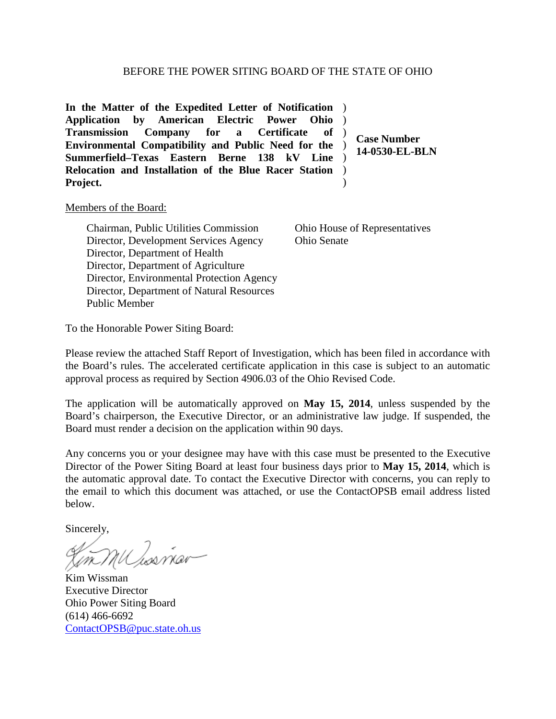**In the Matter of the Expedited Letter of Notification** ) Application by American Electric Power **Transmission Company for a Certificate of Environmental Compatibility and Public Need for the Summerfield–Texas Eastern Berne 138 kV Line Relocation and Installation of the Blue Racer Station**  ) **Project.** Ohio ) ) ) )  $\lambda$ 

**Case Number 14-0530-EL-BLN**

## Members of the Board:

Chairman, Public Utilities Commission Director, Development Services Agency Director, Department of Health Director, Department of Agriculture Director, Environmental Protection Agency Director, Department of Natural Resources Public Member

Ohio House of Representatives Ohio Senate

To the Honorable Power Siting Board:

Please review the attached Staff Report of Investigation, which has been filed in accordance with the Board's rules. The accelerated certificate application in this case is subject to an automatic approval process as required by Section 4906.03 of the Ohio Revised Code.

The application will be automatically approved on **May 15, 2014**, unless suspended by the Board's chairperson, the Executive Director, or an administrative law judge. If suspended, the Board must render a decision on the application within 90 days.

Any concerns you or your designee may have with this case must be presented to the Executive Director of the Power Siting Board at least four business days prior to **May 15, 2014**, which is the automatic approval date. To contact the Executive Director with concerns, you can reply to the email to which this document was attached, or use the ContactOPSB email address listed below.

Sincerely,

Kim Wissman Executive Director Ohio Power Siting Board (614) 466-6692 [ContactOPSB@puc.state.oh.us](mailto:ContactOPSB@puc.state.oh.us)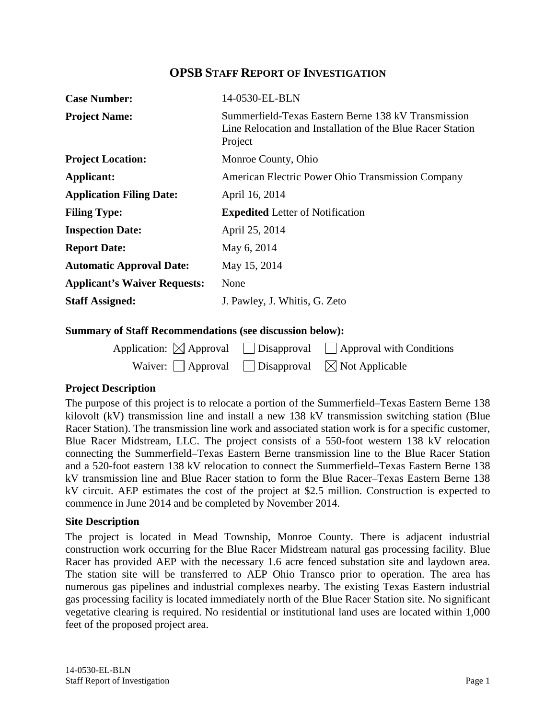## **OPSB STAFF REPORT OF INVESTIGATION**

| <b>Case Number:</b>                 | 14-0530-EL-BLN                                                                                                               |  |
|-------------------------------------|------------------------------------------------------------------------------------------------------------------------------|--|
| <b>Project Name:</b>                | Summerfield-Texas Eastern Berne 138 kV Transmission<br>Line Relocation and Installation of the Blue Racer Station<br>Project |  |
| <b>Project Location:</b>            | Monroe County, Ohio                                                                                                          |  |
| Applicant:                          | American Electric Power Ohio Transmission Company                                                                            |  |
| <b>Application Filing Date:</b>     | April 16, 2014                                                                                                               |  |
| <b>Filing Type:</b>                 | <b>Expedited</b> Letter of Notification                                                                                      |  |
| <b>Inspection Date:</b>             | April 25, 2014                                                                                                               |  |
| <b>Report Date:</b>                 | May 6, 2014                                                                                                                  |  |
| <b>Automatic Approval Date:</b>     | May 15, 2014                                                                                                                 |  |
| <b>Applicant's Waiver Requests:</b> | None                                                                                                                         |  |
| <b>Staff Assigned:</b>              | J. Pawley, J. Whitis, G. Zeto                                                                                                |  |

## **Summary of Staff Recommendations (see discussion below):**

|                                                                       | Application: $\boxtimes$ Approval $\Box$ Disapproval $\Box$ Approval with Conditions |
|-----------------------------------------------------------------------|--------------------------------------------------------------------------------------|
| Waiver: $\Box$ Approval $\Box$ Disapproval $\boxtimes$ Not Applicable |                                                                                      |

## **Project Description**

The purpose of this project is to relocate a portion of the Summerfield–Texas Eastern Berne 138 kilovolt (kV) transmission line and install a new 138 kV transmission switching station (Blue Racer Station). The transmission line work and associated station work is for a specific customer, Blue Racer Midstream, LLC. The project consists of a 550-foot western 138 kV relocation connecting the Summerfield–Texas Eastern Berne transmission line to the Blue Racer Station and a 520-foot eastern 138 kV relocation to connect the Summerfield–Texas Eastern Berne 138 kV transmission line and Blue Racer station to form the Blue Racer–Texas Eastern Berne 138 kV circuit. AEP estimates the cost of the project at \$2.5 million. Construction is expected to commence in June 2014 and be completed by November 2014.

#### **Site Description**

The project is located in Mead Township, Monroe County. There is adjacent industrial construction work occurring for the Blue Racer Midstream natural gas processing facility. Blue Racer has provided AEP with the necessary 1.6 acre fenced substation site and laydown area. The station site will be transferred to AEP Ohio Transco prior to operation. The area has numerous gas pipelines and industrial complexes nearby. The existing Texas Eastern industrial gas processing facility is located immediately north of the Blue Racer Station site. No significant vegetative clearing is required. No residential or institutional land uses are located within 1,000 feet of the proposed project area.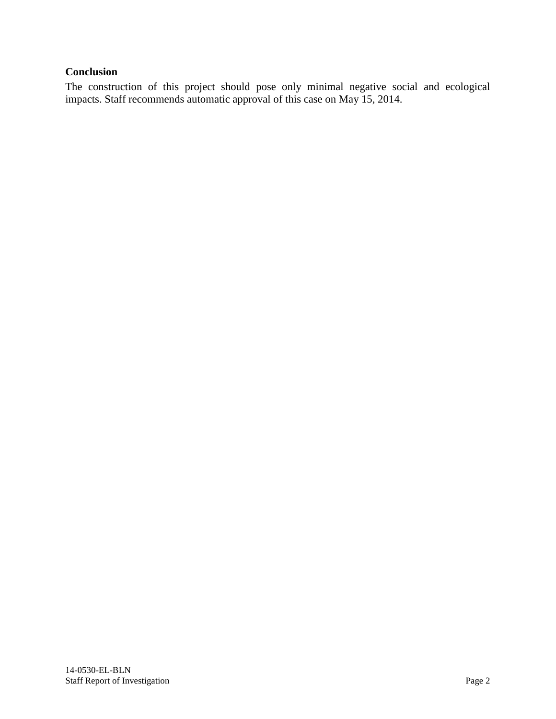# **Conclusion**

The construction of this project should pose only minimal negative social and ecological impacts. Staff recommends automatic approval of this case on May 15, 2014.